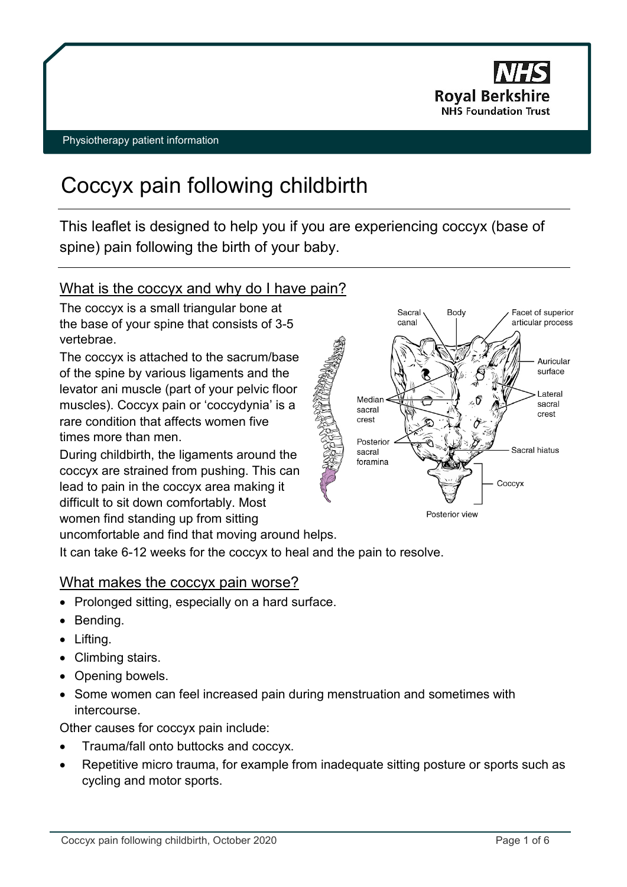

# Coccyx pain following childbirth

This leaflet is designed to help you if you are experiencing coccyx (base of spine) pain following the birth of your baby.

# What is the coccyx and why do I have pain?

The coccyx is a small triangular bone at the base of your spine that consists of 3-5 vertebrae.

The coccyx is attached to the sacrum/base of the spine by various ligaments and the levator ani muscle (part of your pelvic floor muscles). Coccyx pain or 'coccydynia' is a rare condition that affects women five times more than men.

During childbirth, the ligaments around the coccyx are strained from pushing. This can lead to pain in the coccyx area making it difficult to sit down comfortably. Most women find standing up from sitting uncomfortable and find that moving around helps.



It can take 6-12 weeks for the coccyx to heal and the pain to resolve.

# What makes the coccyx pain worse?

- Prolonged sitting, especially on a hard surface.
- Bending.
- Lifting.
- Climbing stairs.
- Opening bowels.
- Some women can feel increased pain during menstruation and sometimes with intercourse.

Other causes for coccyx pain include:

- Trauma/fall onto buttocks and coccyx.
- Repetitive micro trauma, for example from inadequate sitting posture or sports such as cycling and motor sports.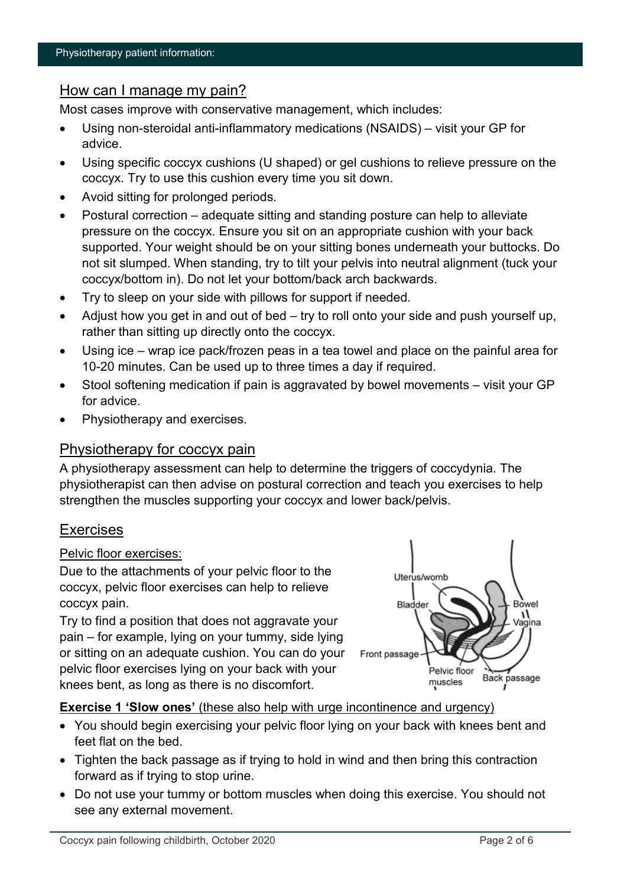# How can I manage my pain?

Most cases improve with conservative management, which includes:

- Using non-steroidal anti-inflammatory medications (NSAIDS) visit your GP for advice.
- Using specific coccyx cushions (U shaped) or gel cushions to relieve pressure on the coccyx. Try to use this cushion every time you sit down.
- Avoid sitting for prolonged periods.
- Postural correction adequate sitting and standing posture can help to alleviate pressure on the coccyx. Ensure you sit on an appropriate cushion with your back supported. Your weight should be on your sitting bones underneath your buttocks. Do not sit slumped. When standing, try to tilt your pelvis into neutral alignment (tuck your coccyx/bottom in). Do not let your bottom/back arch backwards.
- Try to sleep on your side with pillows for support if needed.
- Adjust how you get in and out of bed try to roll onto your side and push yourself up, rather than sitting up directly onto the coccyx.
- Using ice wrap ice pack/frozen peas in a tea towel and place on the painful area for 10-20 minutes. Can be used up to three times a day if required.
- Stool softening medication if pain is aggravated by bowel movements visit your GP for advice.
- Physiotherapy and exercises.

# Physiotherapy for coccyx pain

A physiotherapy assessment can help to determine the triggers of coccydynia. The physiotherapist can then advise on postural correction and teach you exercises to help strengthen the muscles supporting your coccyx and lower back/pelvis.

# Exercises

### Pelvic floor exercises:

Due to the attachments of your pelvic floor to the coccyx, pelvic floor exercises can help to relieve coccyx pain.

Try to find a position that does not aggravate your pain – for example, lying on your tummy, side lying or sitting on an adequate cushion. You can do your pelvic floor exercises lying on your back with your knees bent, as long as there is no discomfort.



### **Exercise 1 'Slow ones'** (these also help with urge incontinence and urgency)

- You should begin exercising your pelvic floor lying on your back with knees bent and feet flat on the bed.
- Tighten the back passage as if trying to hold in wind and then bring this contraction forward as if trying to stop urine.
- Do not use your tummy or bottom muscles when doing this exercise. You should not see any external movement.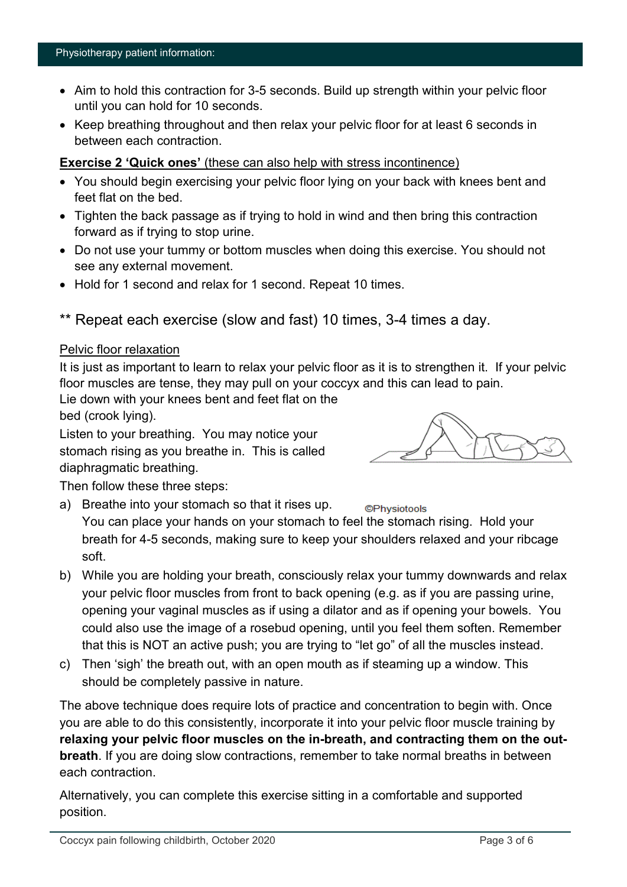- Aim to hold this contraction for 3-5 seconds. Build up strength within your pelvic floor until you can hold for 10 seconds.
- Keep breathing throughout and then relax your pelvic floor for at least 6 seconds in between each contraction.

#### **Exercise 2 'Quick ones'** (these can also help with stress incontinence)

- You should begin exercising your pelvic floor lying on your back with knees bent and feet flat on the bed.
- Tighten the back passage as if trying to hold in wind and then bring this contraction forward as if trying to stop urine.
- Do not use your tummy or bottom muscles when doing this exercise. You should not see any external movement.
- Hold for 1 second and relax for 1 second. Repeat 10 times.
- \*\* Repeat each exercise (slow and fast) 10 times, 3-4 times a day.

#### Pelvic floor relaxation

It is just as important to learn to relax your pelvic floor as it is to strengthen it. If your pelvic floor muscles are tense, they may pull on your coccyx and this can lead to pain.

Lie down with your knees bent and feet flat on the

bed (crook lying).

Listen to your breathing. You may notice your stomach rising as you breathe in. This is called diaphragmatic breathing.



Then follow these three steps:

a) Breathe into your stomach so that it rises up.

**©Physiotools** You can place your hands on your stomach to feel the stomach rising. Hold your breath for 4-5 seconds, making sure to keep your shoulders relaxed and your ribcage soft.

- b) While you are holding your breath, consciously relax your tummy downwards and relax your pelvic floor muscles from front to back opening (e.g. as if you are passing urine, opening your vaginal muscles as if using a dilator and as if opening your bowels. You could also use the image of a rosebud opening, until you feel them soften. Remember that this is NOT an active push; you are trying to "let go" of all the muscles instead.
- c) Then 'sigh' the breath out, with an open mouth as if steaming up a window. This should be completely passive in nature.

The above technique does require lots of practice and concentration to begin with. Once you are able to do this consistently, incorporate it into your pelvic floor muscle training by **relaxing your pelvic floor muscles on the in-breath, and contracting them on the outbreath**. If you are doing slow contractions, remember to take normal breaths in between each contraction.

Alternatively, you can complete this exercise sitting in a comfortable and supported position.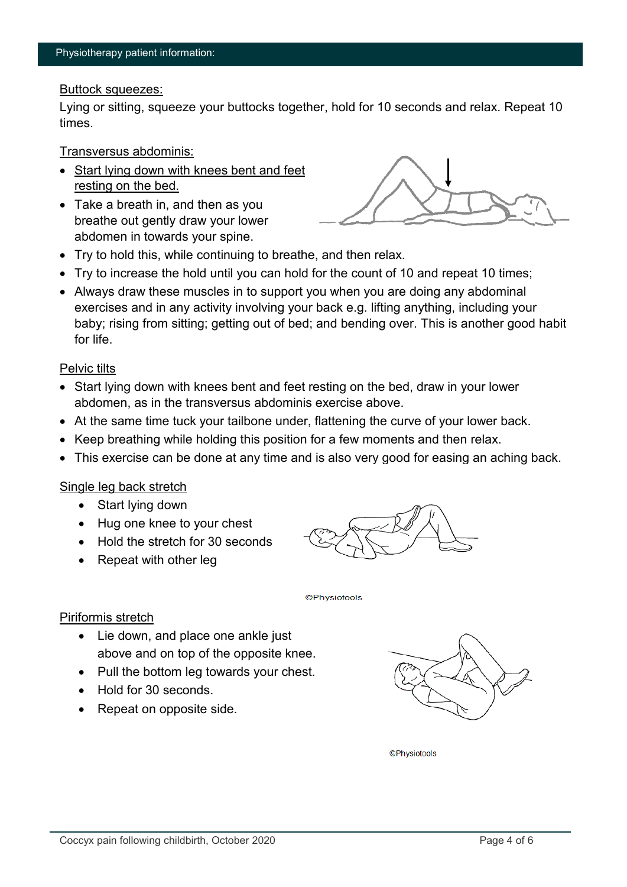#### Buttock squeezes:

Lying or sitting, squeeze your buttocks together, hold for 10 seconds and relax. Repeat 10 times.

Transversus abdominis:

- Start lying down with knees bent and feet resting on the bed.
- Take a breath in, and then as you breathe out gently draw your lower abdomen in towards your spine.



- Try to hold this, while continuing to breathe, and then relax.
- Try to increase the hold until you can hold for the count of 10 and repeat 10 times:
- Always draw these muscles in to support you when you are doing any abdominal exercises and in any activity involving your back e.g. lifting anything, including your baby; rising from sitting; getting out of bed; and bending over. This is another good habit for life.

#### Pelvic tilts

- Start lying down with knees bent and feet resting on the bed, draw in your lower abdomen, as in the transversus abdominis exercise above.
- At the same time tuck your tailbone under, flattening the curve of your lower back.
- Keep breathing while holding this position for a few moments and then relax.
- This exercise can be done at any time and is also very good for easing an aching back.

#### Single leg back stretch

- Start lying down
- Hug one knee to your chest
- Hold the stretch for 30 seconds
- Repeat with other leg



**©Physiotools** 

#### Piriformis stretch

- Lie down, and place one ankle just above and on top of the opposite knee.
- Pull the bottom leg towards your chest.
- Hold for 30 seconds.
- Repeat on opposite side.



**©Physiotools**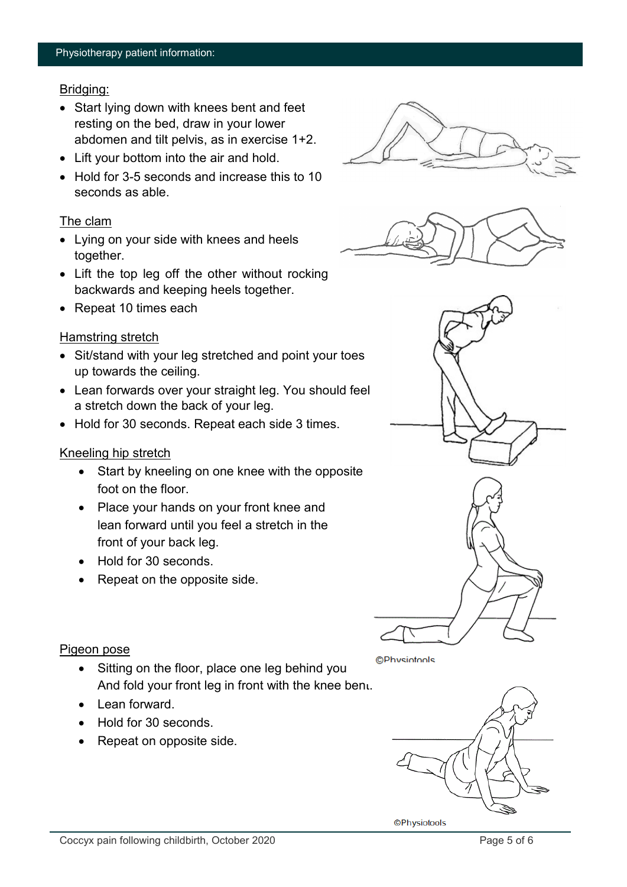#### Bridging:

- Start lying down with knees bent and feet resting on the bed, draw in your lower abdomen and tilt pelvis, as in exercise 1+2.
- Lift your bottom into the air and hold.
- Hold for 3-5 seconds and increase this to 10 seconds as able.

### The clam

- Lying on your side with knees and heels together.
- Lift the top leg off the other without rocking backwards and keeping heels together.
- Repeat 10 times each

### Hamstring stretch

- Sit/stand with your leg stretched and point your toes up towards the ceiling.
- Lean forwards over your straight leg. You should feel a stretch down the back of your leg.
- Hold for 30 seconds. Repeat each side 3 times.

### Kneeling hip stretch

- Start by kneeling on one knee with the opposite foot on the floor.
- Place your hands on your front knee and lean forward until you feel a stretch in the front of your back leg.
- Hold for 30 seconds.
- Repeat on the opposite side.





#### Pigeon pose

- Sitting on the floor, place one leg behind you And fold your front leg in front with the knee bent.
- Lean forward.
- Hold for 30 seconds.
- Repeat on opposite side.



**©Physiotools**